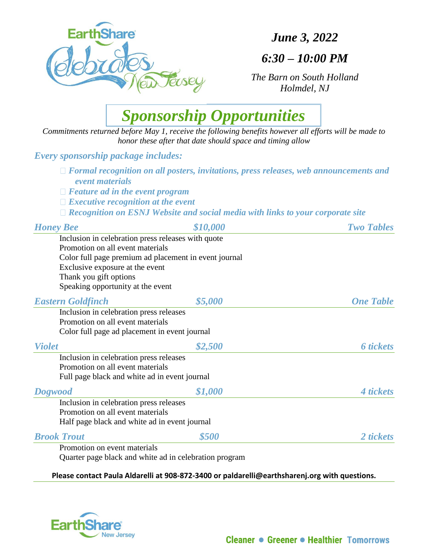

*June 3, 2022*

## *6:30 – 10:00 PM*

*The Barn on South Holland Holmdel, NJ*



*Commitments returned before May 1, receive the following benefits however all efforts will be made to honor these after that date should space and timing allow*

### *Every sponsorship package includes:*

- *Formal recognition on all posters, invitations, press releases, web announcements and event materials*
- *Feature ad in the event program*
- *Executive recognition at the event*
- *Recognition on ESNJ Website and social media with links to your corporate site*

| <b>Honey Bee</b>                                   | \$10,000                                               | <b>Two Tables</b> |
|----------------------------------------------------|--------------------------------------------------------|-------------------|
| Inclusion in celebration press releases with quote |                                                        |                   |
| Promotion on all event materials                   |                                                        |                   |
|                                                    | Color full page premium ad placement in event journal  |                   |
| Exclusive exposure at the event                    |                                                        |                   |
| Thank you gift options                             |                                                        |                   |
| Speaking opportunity at the event                  |                                                        |                   |
| <b>Eastern Goldfinch</b>                           | \$5,000                                                | <b>One Table</b>  |
| Inclusion in celebration press releases            |                                                        |                   |
| Promotion on all event materials                   |                                                        |                   |
| Color full page ad placement in event journal      |                                                        |                   |
| <b>Violet</b>                                      | \$2,500                                                | <b>6</b> tickets  |
| Inclusion in celebration press releases            |                                                        |                   |
| Promotion on all event materials                   |                                                        |                   |
| Full page black and white ad in event journal      |                                                        |                   |
| <b>Dogwood</b>                                     | \$1,000                                                | 4 tickets         |
| Inclusion in celebration press releases            |                                                        |                   |
| Promotion on all event materials                   |                                                        |                   |
| Half page black and white ad in event journal      |                                                        |                   |
| <b>Brook Trout</b>                                 | \$500                                                  | 2 tickets         |
| Promotion on event materials                       |                                                        |                   |
|                                                    | Quarter page black and white ad in celebration program |                   |

**Please contact Paula Aldarelli at 908-872-3400 or paldarelli@earthsharenj.org with questions.**